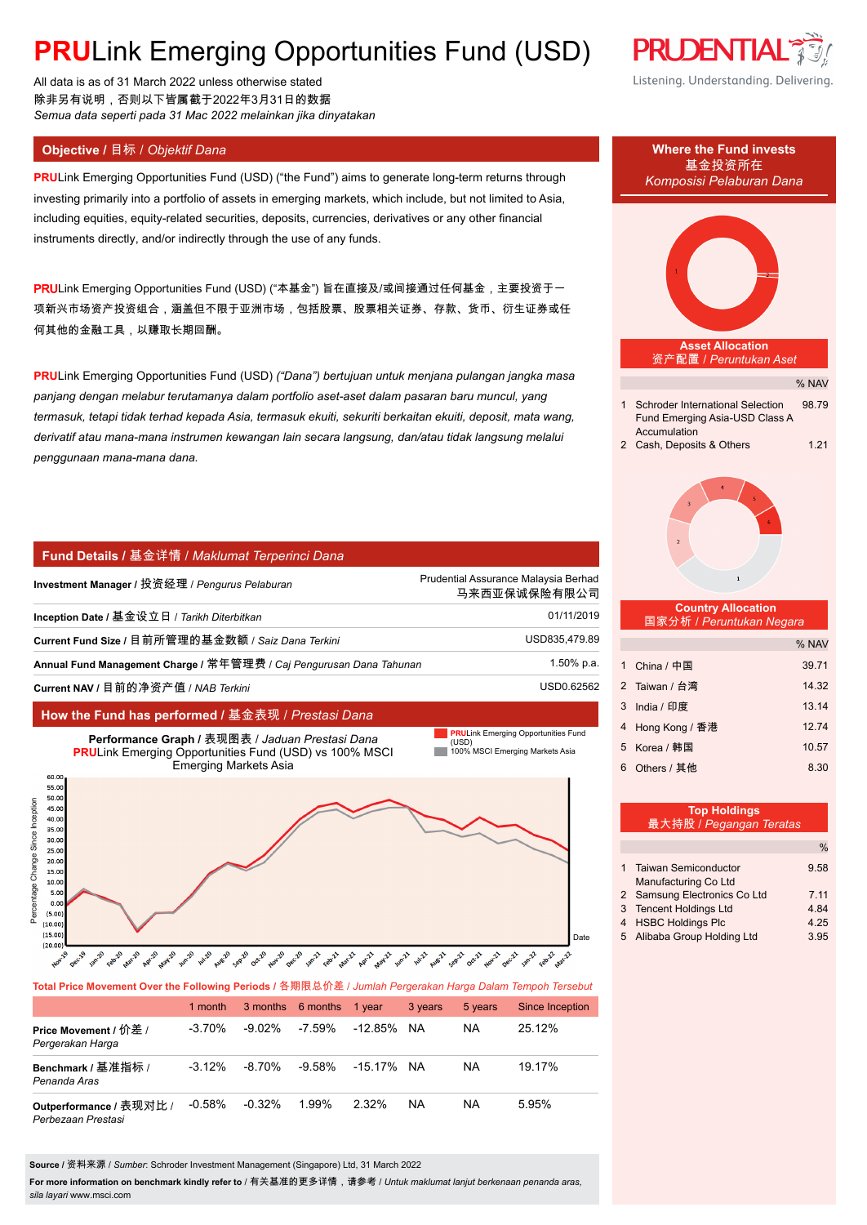# **PRULink Emerging Opportunities Fund (USD)**

All data is as of 31 March 2022 unless otherwise stated 除非另有说明,否则以下皆属截于2022年3月31日的数据 *Semua data seperti pada 31 Mac 2022 melainkan jika dinyatakan*

**PRU**Link Emerging Opportunities Fund (USD) ("the Fund") aims to generate long-term returns through investing primarily into a portfolio of assets in emerging markets, which include, but not limited to Asia, including equities, equity-related securities, deposits, currencies, derivatives or any other financial instruments directly, and/or indirectly through the use of any funds.

PRULink Emerging Opportunities Fund (USD) ("本基金") 旨在直接及/或间接通过任何基金,主要投资于一 项新兴市场资产投资组合,涵盖但不限于亚洲市场,包括股票、股票相关证券、存款、货币、衍生证券或任 何其他的金融工具,以赚取长期回酬。

**PRU**Link Emerging Opportunities Fund (USD) *("Dana") bertujuan untuk menjana pulangan jangka masa panjang dengan melabur terutamanya dalam portfolio aset-aset dalam pasaran baru muncul, yang termasuk, tetapi tidak terhad kepada Asia, termasuk ekuiti, sekuriti berkaitan ekuiti, deposit, mata wang, derivatif atau mana-mana instrumen kewangan lain secara langsung, dan/atau tidak langsung melalui penggunaan mana-mana dana.*

### **Fund Details /** 基金详情 / *Maklumat Terperinci Dana*

| Investment Manager / 投资经理 / Pengurus Pelaburan                      | Prudential Assurance Malaysia Berhad<br>马来西亚保诚保险有限公司 |
|---------------------------------------------------------------------|------------------------------------------------------|
| Inception Date / 基金设立日 / Tarikh Diterbitkan                         | 01/11/2019                                           |
| Current Fund Size / 目前所管理的基金数额 / Saiz Dana Terkini                  | USD835,479.89                                        |
| Annual Fund Management Charge / 常年管理费 / Caj Pengurusan Dana Tahunan | 1.50% p.a.                                           |
| Current NAV / 目前的净资产值 / NAB Terkini                                 | USD0.62562                                           |
|                                                                     |                                                      |

### **How the Fund has performed /** 基金表现 / *Prestasi Dana*



# **Total Price Movement Over the Following Periods /** 各期限总价差 / *Jumlah Pergerakan Harga Dalam Tempoh Tersebut*

|                                               | 1 month   |           | 3 months 6 months 1 year |         | 3 years | 5 years | Since Inception |
|-----------------------------------------------|-----------|-----------|--------------------------|---------|---------|---------|-----------------|
| Price Movement / 价差 /<br>Pergerakan Harga     | $-3.70\%$ | $-9.02\%$ | $-7.59%$                 | -12.85% | NA.     | ΝA      | 25.12%          |
| Benchmark / 基准指标 /<br>Penanda Aras            | $-3.12\%$ | $-8.70\%$ | $-9.58\%$                | -15.17% | NA.     | ΝA      | 19.17%          |
| Outperformance / 表现对比 /<br>Perbezaan Prestasi | $-0.58%$  | $-0.32\%$ | 1.99%                    | 2.32%   | NA      | NA      | 5.95%           |

**Source /** 资料来源 / *Sumber*: Schroder Investment Management (Singapore) Ltd, 31 March 2022

**For more information on benchmark kindly refer to** / 有关基准的更多详情,请参考 / *Untuk maklumat lanjut berkenaan penanda aras, sila layari* www.msci.com



# % NAV **Asset Allocation** 资产配置 / *Peruntukan Aset* 1 Schroder International Selection 98.79 Fund Emerging Asia-USD Class A **Accumulation** 2 Cash, Deposits & Others 1.21  **Country Allocation** 国家分析 / *Peruntukan Negara* % NAV 1 China / 中国 39.71 2 Taiwan / 台湾 14.32 3 India / 印度 13.14 4 Hong Kong / 香港 12.74 5 Korea / 韩国 10.57 6 Others / 其他 8.30 **Top Holdings** 最大持股 / *Pegangan Teratas* **Objective /** 目标 / *Objektif Dana* **Where the Fund invests** *Komposisi Pelaburan Dana*

|                              | $\%$ |
|------------------------------|------|
|                              |      |
| 1 Taiwan Semiconductor       | 9.58 |
| Manufacturing Co Ltd         |      |
| 2 Samsung Electronics Co Ltd | 7.11 |
| 3 Tencent Holdings Ltd       | 4.84 |
| 4 HSBC Holdings Plc          | 4.25 |
| 5 Alibaba Group Holding Ltd  | 3.95 |
|                              |      |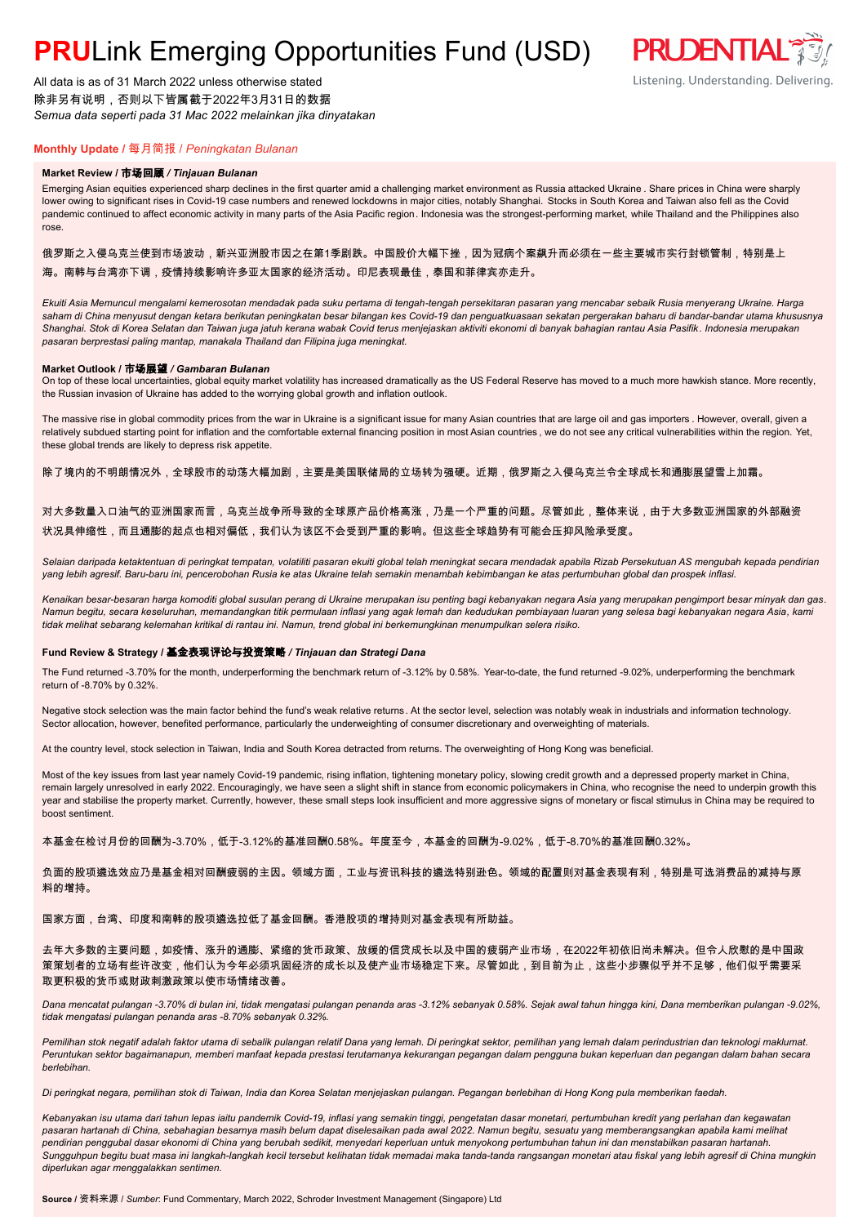# **PRULink Emerging Opportunities Fund (USD)**

All data is as of 31 March 2022 unless otherwise stated 除非另有说明,否则以下皆属截于2022年3月31日的数据 *Semua data seperti pada 31 Mac 2022 melainkan jika dinyatakan*

# **PRUDENTIAL** Listening. Understanding. Delivering.

## **Monthly Update /** 每月简报 / *Peningkatan Bulanan*

#### **Market Review /** 市场回顾 */ Tinjauan Bulanan*

Emerging Asian equities experienced sharp declines in the first quarter amid a challenging market environment as Russia attacked Ukraine . Share prices in China were sharply lower owing to significant rises in Covid-19 case numbers and renewed lockdowns in major cities, notably Shanghai. Stocks in South Korea and Taiwan also fell as the Covid pandemic continued to affect economic activity in many parts of the Asia Pacific region. Indonesia was the strongest-performing market, while Thailand and the Philippines also rose.

### 俄罗斯之入侵乌克兰使到市场波动,新兴亚洲股市因之在第1季剧跌。中国股价大幅下挫,因为冠病个案飙升而必须在一些主要城市实行封锁管制,特别是上 海。南韩与台湾亦下调,疫情持续影响许多亚太国家的经济活动。印尼表现最佳,泰国和菲律宾亦走升。

*Ekuiti Asia Memuncul mengalami kemerosotan mendadak pada suku pertama di tengah-tengah persekitaran pasaran yang mencabar sebaik Rusia menyerang Ukraine. Harga saham di China menyusut dengan ketara berikutan peningkatan besar bilangan kes Covid-19 dan penguatkuasaan sekatan pergerakan baharu di bandar-bandar utama khususnya Shanghai. Stok di Korea Selatan dan Taiwan juga jatuh kerana wabak Covid terus menjejaskan aktiviti ekonomi di banyak bahagian rantau Asia Pasifik. Indonesia merupakan pasaran berprestasi paling mantap, manakala Thailand dan Filipina juga meningkat.*

#### **Market Outlook /** 市场展望 */ Gambaran Bulanan*

On top of these local uncertainties, global equity market volatility has increased dramatically as the US Federal Reserve has moved to a much more hawkish stance. More recently, the Russian invasion of Ukraine has added to the worrying global growth and inflation outlook.

The massive rise in global commodity prices from the war in Ukraine is a significant issue for many Asian countries that are large oil and gas importers . However, overall, given a relatively subdued starting point for inflation and the comfortable external financing position in most Asian countries, we do not see any critical vulnerabilities within the region. Yet, these global trends are likely to depress risk appetite.

除了境内的不明朗情况外,全球股市的动荡大幅加剧,主要是美国联储局的立场转为强硬。近期,俄罗斯之入侵乌克兰令全球成长和通膨展望雪上加霜。

### 对大多数量入口油气的亚洲国家而言,乌克兰战争所导致的全球原产品价格高涨,乃是一个严重的问题。尽管如此,整体来说,由于大多数亚洲国家的外部融资 状况具伸缩性,而且通膨的起点也相对偏低,我们认为该区不会受到严重的影响。但这些全球趋势有可能会压抑风险承受度。

*Selaian daripada ketaktentuan di peringkat tempatan, volatiliti pasaran ekuiti global telah meningkat secara mendadak apabila Rizab Persekutuan AS mengubah kepada pendirian yang lebih agresif. Baru-baru ini, pencerobohan Rusia ke atas Ukraine telah semakin menambah kebimbangan ke atas pertumbuhan global dan prospek inflasi.*

*Kenaikan besar-besaran harga komoditi global susulan perang di Ukraine merupakan isu penting bagi kebanyakan negara Asia yang merupakan pengimport besar minyak dan gas. Namun begitu, secara keseluruhan, memandangkan titik permulaan inflasi yang agak lemah dan kedudukan pembiayaan luaran yang selesa bagi kebanyakan negara Asia, kami tidak melihat sebarang kelemahan kritikal di rantau ini. Namun, trend global ini berkemungkinan menumpulkan selera risiko.*

#### **Fund Review & Strategy /** 基金表现评论与投资策略 */ Tinjauan dan Strategi Dana*

The Fund returned -3.70% for the month, underperforming the benchmark return of -3.12% by 0.58%. Year-to-date, the fund returned -9.02%, underperforming the benchmark return of -8.70% by 0.32%.

Negative stock selection was the main factor behind the fund's weak relative returns. At the sector level, selection was notably weak in industrials and information technology. Sector allocation, however, benefited performance, particularly the underweighting of consumer discretionary and overweighting of materials.

At the country level, stock selection in Taiwan, India and South Korea detracted from returns. The overweighting of Hong Kong was beneficial.

Most of the key issues from last year namely Covid-19 pandemic, rising inflation, tightening monetary policy, slowing credit growth and a depressed property market in China, remain largely unresolved in early 2022. Encouragingly, we have seen a slight shift in stance from economic policymakers in China, who recognise the need to underpin growth this year and stabilise the property market. Currently, however, these small steps look insufficient and more aggressive signs of monetary or fiscal stimulus in China may be required to boost sentiment.

本基金在检讨月份的回酬为-3.70%,低于-3.12%的基准回酬0.58%。年度至今,本基金的回酬为-9.02%,低于-8.70%的基准回酬0.32%。

负面的股项遴选效应乃是基金相对回酬疲弱的主因。领域方面,工业与资讯科技的遴选特别逊色。领域的配置则对基金表现有利,特别是可选消费品的减持与原 料的增持。

### 国家方面,台湾、印度和南韩的股项遴选拉低了基金回酬。香港股项的增持则对基金表现有所助益。

去年大多数的主要问题,如疫情、涨升的通膨、紧缩的货币政策、放缓的信贷成长以及中国的疲弱产业市场,在2022年初依旧尚未解决。但令人欣慰的是中国政 策策划者的立场有些许改变,他们认为今年必须巩固经济的成长以及使产业市场稳定下来。尽管如此,到目前为止,这些小步骤似乎并不足够,他们似乎需要采 取更积极的货币或财政刺激政策以使市场情绪改善。

*Dana mencatat pulangan -3.70% di bulan ini, tidak mengatasi pulangan penanda aras -3.12% sebanyak 0.58%. Sejak awal tahun hingga kini, Dana memberikan pulangan -9.02%, tidak mengatasi pulangan penanda aras -8.70% sebanyak 0.32%.*

Pemilihan stok negatif adalah faktor utama di sebalik pulangan relatif Dana yang lemah. Di peringkat sektor, pemilihan yang lemah dalam perindustrian dan teknologi maklumat. *Peruntukan sektor bagaimanapun, memberi manfaat kepada prestasi terutamanya kekurangan pegangan dalam pengguna bukan keperluan dan pegangan dalam bahan secara berlebihan.*

*Di peringkat negara, pemilihan stok di Taiwan, India dan Korea Selatan menjejaskan pulangan. Pegangan berlebihan di Hong Kong pula memberikan faedah.*

*Kebanyakan isu utama dari tahun lepas iaitu pandemik Covid-19, inflasi yang semakin tinggi, pengetatan dasar monetari, pertumbuhan kredit yang perlahan dan kegawatan pasaran hartanah di China, sebahagian besarnya masih belum dapat diselesaikan pada awal 2022. Namun begitu, sesuatu yang memberangsangkan apabila kami melihat pendirian penggubal dasar ekonomi di China yang berubah sedikit, menyedari keperluan untuk menyokong pertumbuhan tahun ini dan menstabilkan pasaran hartanah. Sungguhpun begitu buat masa ini langkah-langkah kecil tersebut kelihatan tidak memadai maka tanda-tanda rangsangan monetari atau fiskal yang lebih agresif di China mungkin diperlukan agar menggalakkan sentimen.*